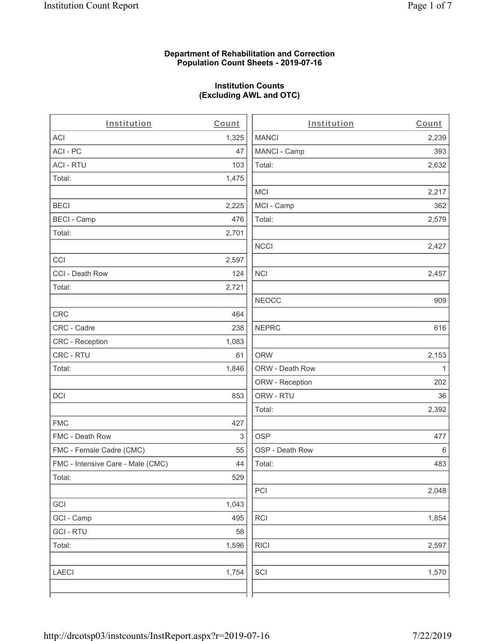## **Department of Rehabilitation and Correction Population Count Sheets - 2019-07-16**

# **Institution Counts (Excluding AWL and OTC)**

 $\overline{a}$ 

| Institution                       | Count | Institution     | Count        |
|-----------------------------------|-------|-----------------|--------------|
| ACI                               | 1,325 | <b>MANCI</b>    | 2,239        |
| ACI - PC                          | 47    | MANCI - Camp    | 393          |
| <b>ACI - RTU</b>                  | 103   | Total:          | 2,632        |
| Total:                            | 1,475 |                 |              |
|                                   |       | MCI             | 2,217        |
| <b>BECI</b>                       | 2,225 | MCI - Camp      | 362          |
| <b>BECI - Camp</b>                | 476   | Total:          | 2,579        |
| Total:                            | 2,701 |                 |              |
|                                   |       | <b>NCCI</b>     | 2,427        |
| CCI                               | 2,597 |                 |              |
| CCI - Death Row                   | 124   | <b>NCI</b>      | 2,457        |
| Total:                            | 2,721 |                 |              |
|                                   |       | <b>NEOCC</b>    | 909          |
| CRC                               | 464   |                 |              |
| CRC - Cadre                       | 238   | <b>NEPRC</b>    | 616          |
| <b>CRC</b> - Reception            | 1,083 |                 |              |
| CRC - RTU                         | 61    | <b>ORW</b>      | 2,153        |
| Total:                            | 1,846 | ORW - Death Row | $\mathbf{1}$ |
|                                   |       | ORW - Reception | 202          |
| DCI                               | 853   | ORW - RTU       | 36           |
|                                   |       | Total:          | 2,392        |
| <b>FMC</b>                        | 427   |                 |              |
| FMC - Death Row                   | 3     | <b>OSP</b>      | 477          |
| FMC - Female Cadre (CMC)          | 55    | OSP - Death Row | 6            |
| FMC - Intensive Care - Male (CMC) | 44    | Total:          | 483          |
| Total:                            | 529   |                 |              |
|                                   |       | PCI             | 2,048        |
| GCI                               | 1,043 |                 |              |
| GCI - Camp                        | 495   | RCI             | 1,854        |
| <b>GCI-RTU</b>                    | 58    |                 |              |
| Total:                            | 1,596 | <b>RICI</b>     | 2,597        |
| LAECI                             | 1,754 | SCI             | 1,570        |
|                                   |       |                 |              |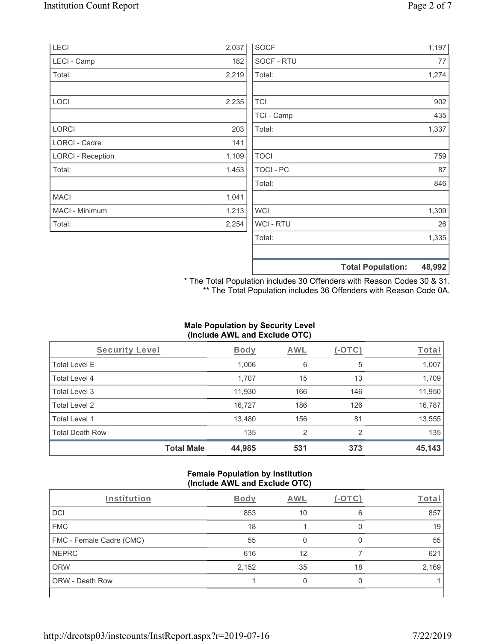| LECI                     | 2,037 | <b>SOCF</b>    | 1,197                              |
|--------------------------|-------|----------------|------------------------------------|
| LECI - Camp              | 182   | SOCF - RTU     | 77                                 |
| Total:                   | 2,219 | Total:         | 1,274                              |
| LOCI                     | 2,235 | <b>TCI</b>     | 902                                |
|                          |       | TCI - Camp     | 435                                |
| LORCI                    | 203   | Total:         | 1,337                              |
| LORCI - Cadre            | 141   |                |                                    |
| <b>LORCI - Reception</b> | 1,109 | <b>TOCI</b>    | 759                                |
| Total:                   | 1,453 | TOCI - PC      | 87                                 |
|                          |       | Total:         | 846                                |
| <b>MACI</b>              | 1,041 |                |                                    |
| MACI - Minimum           | 1,213 | <b>WCI</b>     | 1,309                              |
| Total:                   | 2,254 | <b>WCI-RTU</b> | 26                                 |
|                          |       | Total:         | 1,335                              |
|                          |       |                | <b>Total Population:</b><br>48,992 |

\* The Total Population includes 30 Offenders with Reason Codes 30 & 31. \*\* The Total Population includes 36 Offenders with Reason Code 0A.

# **Male Population by Security Level (Include AWL and Exclude OTC)**

| Security Level         |                   | <b>Body</b> | AWL            | (-OTC) | Total  |
|------------------------|-------------------|-------------|----------------|--------|--------|
| <b>Total Level E</b>   |                   | 1,006       | 6              | 5      | 1,007  |
| Total Level 4          |                   | 1,707       | 15             | 13     | 1,709  |
| Total Level 3          |                   | 11,930      | 166            | 146    | 11,950 |
| Total Level 2          |                   | 16,727      | 186            | 126    | 16,787 |
| Total Level 1          |                   | 13,480      | 156            | 81     | 13,555 |
| <b>Total Death Row</b> |                   | 135         | $\overline{2}$ | 2      | 135    |
|                        | <b>Total Male</b> | 44,985      | 531            | 373    | 45,143 |

## **Female Population by Institution (Include AWL and Exclude OTC)**

| Institution              | <b>Body</b> | <b>AWL</b> | $-1$ | Total |
|--------------------------|-------------|------------|------|-------|
| <b>DCI</b>               | 853         | 10         | 6    | 857   |
| <b>FMC</b>               | 18          |            |      | 19    |
| FMC - Female Cadre (CMC) | 55          |            |      | 55    |
| <b>NEPRC</b>             | 616         | 12         |      | 621   |
| <b>ORW</b>               | 2,152       | 35         | 18   | 2,169 |
| <b>ORW - Death Row</b>   |             |            |      |       |
|                          |             |            |      |       |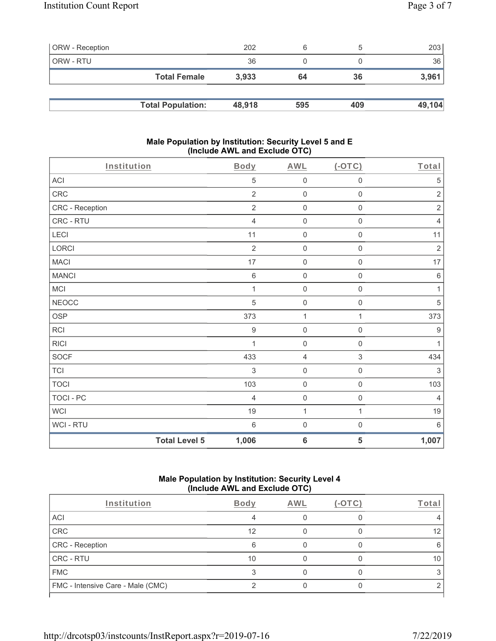| <b>ORW</b> - Reception |                          | 202    | 6   |     | 203    |
|------------------------|--------------------------|--------|-----|-----|--------|
| ORW - RTU              |                          | 36     |     |     | 36     |
|                        | <b>Total Female</b>      | 3.933  | 64  | 36  | 3,961  |
|                        |                          |        |     |     |        |
|                        | <b>Total Population:</b> | 48,918 | 595 | 409 | 49,104 |

## **Male Population by Institution: Security Level 5 and E (Include AWL and Exclude OTC)**

| Institution      |                      | <b>Body</b>      | <b>AWL</b>          | $($ -OTC $)$        | Total            |
|------------------|----------------------|------------------|---------------------|---------------------|------------------|
| ACI              |                      | $\sqrt{5}$       | $\mathsf{O}\xspace$ | $\boldsymbol{0}$    | 5                |
| CRC              |                      | $\overline{2}$   | $\mathsf{O}\xspace$ | $\mathsf{O}\xspace$ | $\sqrt{2}$       |
| CRC - Reception  |                      | $\overline{2}$   | $\boldsymbol{0}$    | 0                   | $\sqrt{2}$       |
| CRC - RTU        |                      | $\overline{4}$   | $\mathsf{O}\xspace$ | $\mathsf{O}\xspace$ | $\overline{4}$   |
| LECI             |                      | 11               | $\mathbf 0$         | $\mathsf{O}\xspace$ | 11               |
| LORCI            |                      | $\overline{2}$   | $\mathsf{O}\xspace$ | $\mathsf{O}\xspace$ | $\sqrt{2}$       |
| <b>MACI</b>      |                      | 17               | $\boldsymbol{0}$    | $\mathsf{O}\xspace$ | 17               |
| <b>MANCI</b>     |                      | $\,6$            | $\mathsf{O}\xspace$ | $\mathsf{O}\xspace$ | $\,6\,$          |
| MCI              |                      | $\mathbf{1}$     | $\mathbf 0$         | $\mathsf{O}\xspace$ | 1                |
| <b>NEOCC</b>     |                      | $\sqrt{5}$       | $\mathsf{O}\xspace$ | $\mathsf{O}\xspace$ | $\sqrt{5}$       |
| <b>OSP</b>       |                      | 373              | $\mathbf 1$         | 1                   | 373              |
| <b>RCI</b>       |                      | $\boldsymbol{9}$ | $\mathsf{O}\xspace$ | $\mathsf{O}\xspace$ | $\boldsymbol{9}$ |
| <b>RICI</b>      |                      | 1                | $\mathbf 0$         | $\mathsf{O}\xspace$ | $\mathbf{1}$     |
| SOCF             |                      | 433              | $\sqrt{4}$          | $\,$ 3 $\,$         | 434              |
| <b>TCI</b>       |                      | $\sqrt{3}$       | $\mathbf 0$         | $\mathsf{O}\xspace$ | $\sqrt{3}$       |
| <b>TOCI</b>      |                      | 103              | $\mathbf 0$         | $\mathbf 0$         | 103              |
| <b>TOCI - PC</b> |                      | $\overline{4}$   | $\mathsf{O}\xspace$ | $\mathsf{O}\xspace$ | $\overline{4}$   |
| WCI              |                      | 19               | $\mathbf{1}$        | 1                   | 19               |
| WCI - RTU        |                      | $6\phantom{1}6$  | $\mathbf 0$         | $\mathsf 0$         | 6                |
|                  | <b>Total Level 5</b> | 1,006            | $6\phantom{1}6$     | 5                   | 1,007            |

## **Male Population by Institution: Security Level 4 (Include AWL and Exclude OTC)**

| <b>Body</b> | AWL | '-OTC | Total             |
|-------------|-----|-------|-------------------|
|             |     |       |                   |
| 12          |     |       | $12 \overline{ }$ |
| 6           |     |       | 6                 |
| 10          |     |       | 10                |
|             |     |       |                   |
|             |     |       |                   |
|             |     |       |                   |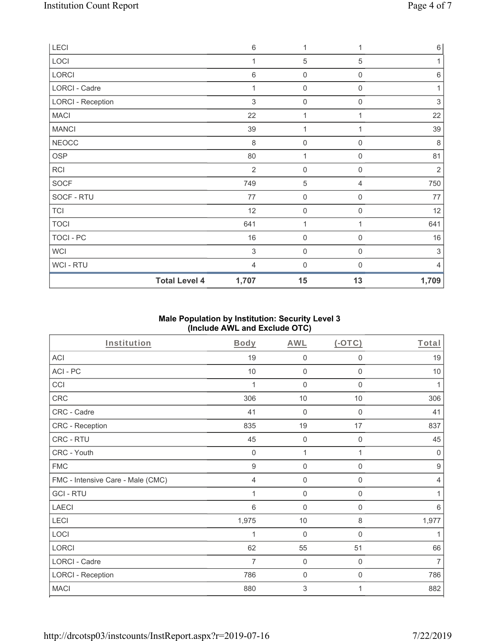| LECI                     | $6\,$                         | 1                   | 1                   | $\,6$                     |
|--------------------------|-------------------------------|---------------------|---------------------|---------------------------|
| LOCI                     | 1                             | 5                   | 5                   | 1                         |
| LORCI                    | $6\,$                         | 0                   | $\boldsymbol{0}$    | $\,6\,$                   |
| <b>LORCI - Cadre</b>     | 1                             | 0                   | $\mathbf 0$         | 1                         |
| <b>LORCI - Reception</b> | $\mathfrak{S}$                | $\mathsf{O}\xspace$ | $\mathbf 0$         | 3                         |
| <b>MACI</b>              | 22                            | 1                   | 1                   | 22                        |
| <b>MANCI</b>             | 39                            | $\mathbf{1}$        | 1                   | 39                        |
| ${\tt NEOCC}$            | $\,8\,$                       | $\mathbf 0$         | 0                   | 8                         |
| OSP                      | 80                            | 1                   | $\mathbf 0$         | 81                        |
| RCI                      | $\overline{2}$                | $\mathbf 0$         | $\mathbf 0$         | $\overline{2}$            |
| SOCF                     | 749                           | 5                   | 4                   | 750                       |
| SOCF - RTU               | 77                            | $\boldsymbol{0}$    | $\mathbf 0$         | 77                        |
| <b>TCI</b>               | 12                            | $\boldsymbol{0}$    | $\mathbf 0$         | 12                        |
| <b>TOCI</b>              | 641                           | 1                   | 1                   | 641                       |
| TOCI - PC                | 16                            | $\mathsf{O}\xspace$ | $\mathsf{O}\xspace$ | 16                        |
| <b>WCI</b>               | $\sqrt{3}$                    | 0                   | 0                   | $\ensuremath{\mathsf{3}}$ |
| WCI - RTU                | 4                             | $\mathbf 0$         | 0                   | 4                         |
|                          | <b>Total Level 4</b><br>1,707 | 15                  | 13                  | 1,709                     |

# **Male Population by Institution: Security Level 3 (Include AWL and Exclude OTC)**

| <b>Institution</b>                | <b>Body</b>      | <b>AWL</b>       | $(-OTC)$         | Total            |
|-----------------------------------|------------------|------------------|------------------|------------------|
| ACI                               | 19               | $\boldsymbol{0}$ | $\boldsymbol{0}$ | 19               |
| ACI-PC                            | 10               | $\mathbf 0$      | $\boldsymbol{0}$ | 10               |
| CCI                               | 1                | $\mathbf 0$      | $\boldsymbol{0}$ | 1                |
| CRC                               | 306              | 10               | 10               | 306              |
| CRC - Cadre                       | 41               | $\mathbf 0$      | 0                | 41               |
| CRC - Reception                   | 835              | 19               | 17               | 837              |
| CRC - RTU                         | 45               | $\mathbf 0$      | $\boldsymbol{0}$ | 45               |
| CRC - Youth                       | $\mathbf 0$      | 1                | 1                | $\overline{0}$   |
| <b>FMC</b>                        | $\boldsymbol{9}$ | $\mathbf 0$      | $\boldsymbol{0}$ | $\boldsymbol{9}$ |
| FMC - Intensive Care - Male (CMC) | 4                | $\mathbf 0$      | $\boldsymbol{0}$ | $\overline{4}$   |
| <b>GCI-RTU</b>                    | 1                | $\mathbf 0$      | $\boldsymbol{0}$ | 1                |
| <b>LAECI</b>                      | 6                | $\mathbf 0$      | $\boldsymbol{0}$ | 6                |
| LECI                              | 1,975            | 10               | $\, 8$           | 1,977            |
| LOCI                              |                  | $\mathbf 0$      | 0                | 1                |
| LORCI                             | 62               | 55               | 51               | 66               |
| LORCI - Cadre                     | 7                | $\mathbf 0$      | $\mathbf 0$      | $\overline{7}$   |
| <b>LORCI - Reception</b>          | 786              | 0                | $\mathbf 0$      | 786              |
| <b>MACI</b>                       | 880              | 3                | 1                | 882              |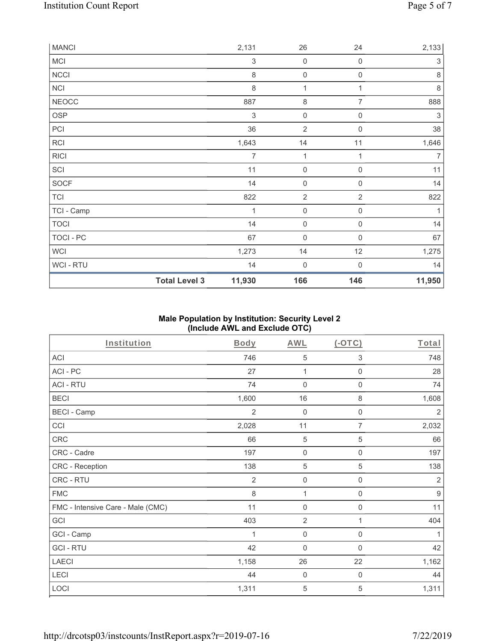| <b>MANCI</b> |                      | 2,131                     | 26                  | 24                  | 2,133          |
|--------------|----------------------|---------------------------|---------------------|---------------------|----------------|
| <b>MCI</b>   |                      | $\ensuremath{\mathsf{3}}$ | $\mathsf{O}\xspace$ | 0                   | $\sqrt{3}$     |
| NCCI         |                      | 8                         | $\mathsf{O}\xspace$ | $\boldsymbol{0}$    | $\,8\,$        |
| <b>NCI</b>   |                      | 8                         | $\mathbf{1}$        |                     | $\,8\,$        |
| <b>NEOCC</b> |                      | 887                       | $\,8\,$             | 7                   | 888            |
| OSP          |                      | $\sqrt{3}$                | $\mathbf 0$         | 0                   | $\sqrt{3}$     |
| PCI          |                      | 36                        | $\overline{2}$      | $\mathsf{O}\xspace$ | 38             |
| RCI          |                      | 1,643                     | 14                  | 11                  | 1,646          |
| <b>RICI</b>  |                      | $\overline{7}$            | 1                   | 1                   | $\overline{7}$ |
| SCI          |                      | 11                        | $\mathsf{O}\xspace$ | 0                   | 11             |
| SOCF         |                      | 14                        | $\mathsf{O}\xspace$ | $\mathbf 0$         | 14             |
| <b>TCI</b>   |                      | 822                       | $\overline{2}$      | $\overline{2}$      | 822            |
| TCI - Camp   |                      | 1                         | $\mathbf 0$         | 0                   | 1              |
| <b>TOCI</b>  |                      | 14                        | $\mathsf{O}\xspace$ | 0                   | 14             |
| TOCI - PC    |                      | 67                        | $\mathsf{O}\xspace$ | 0                   | 67             |
| WCI          |                      | 1,273                     | 14                  | 12                  | 1,275          |
| WCI - RTU    |                      | 14                        | $\mathsf{O}\xspace$ | 0                   | 14             |
|              | <b>Total Level 3</b> | 11,930                    | 166                 | 146                 | 11,950         |

# **Male Population by Institution: Security Level 2 (Include AWL and Exclude OTC)**

| Institution                       | Body           | <b>AWL</b>          | $($ -OTC $)$     | Total            |
|-----------------------------------|----------------|---------------------|------------------|------------------|
| <b>ACI</b>                        | 746            | 5                   | 3                | 748              |
| ACI-PC                            | 27             | 1                   | $\mathbf 0$      | 28               |
| <b>ACI - RTU</b>                  | 74             | $\mathbf 0$         | $\mathbf 0$      | 74               |
| <b>BECI</b>                       | 1,600          | 16                  | $\,8\,$          | 1,608            |
| <b>BECI - Camp</b>                | $\overline{2}$ | $\mathbf 0$         | $\mathbf 0$      | $\sqrt{2}$       |
| CCI                               | 2,028          | 11                  | $\overline{7}$   | 2,032            |
| CRC                               | 66             | 5                   | $\sqrt{5}$       | 66               |
| CRC - Cadre                       | 197            | $\mathsf{O}\xspace$ | $\mathbf 0$      | 197              |
| CRC - Reception                   | 138            | 5                   | $\sqrt{5}$       | 138              |
| CRC - RTU                         | $\overline{2}$ | $\mathbf 0$         | $\boldsymbol{0}$ | $\overline{2}$   |
| <b>FMC</b>                        | $\,8\,$        | 1                   | $\boldsymbol{0}$ | $\boldsymbol{9}$ |
| FMC - Intensive Care - Male (CMC) | 11             | $\mathbf 0$         | $\boldsymbol{0}$ | 11               |
| GCI                               | 403            | $\overline{2}$      | 1                | 404              |
| GCI - Camp                        | 1              | $\mathbf 0$         | $\boldsymbol{0}$ | 1                |
| <b>GCI-RTU</b>                    | 42             | $\mathbf 0$         | $\boldsymbol{0}$ | 42               |
| <b>LAECI</b>                      | 1,158          | 26                  | 22               | 1,162            |
| LECI                              | 44             | $\mathbf 0$         | 0                | 44               |
| LOCI                              | 1,311          | 5                   | 5                | 1,311            |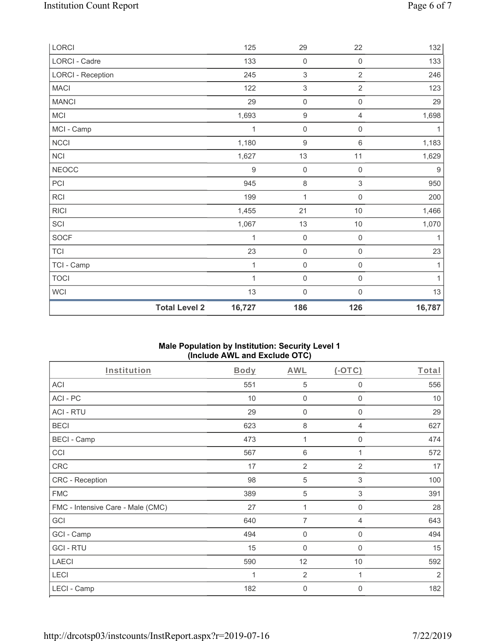| <b>Total Level 2</b>     | 16,727 | 186                       | 126                 | 16,787 |
|--------------------------|--------|---------------------------|---------------------|--------|
| <b>WCI</b>               | 13     | $\mathbf 0$               | $\mathsf{O}\xspace$ | 13     |
| <b>TOCI</b>              | 1      | $\mathsf{O}\xspace$       | 0                   | 1      |
| TCI - Camp               | 1      | $\mathbf 0$               | 0                   | 1      |
| <b>TCI</b>               | 23     | $\mathbf 0$               | $\mathsf{O}\xspace$ | 23     |
| <b>SOCF</b>              | 1      | $\mathbf 0$               | $\mathsf{O}\xspace$ | 1      |
| SCI                      | 1,067  | 13                        | $10$                | 1,070  |
| <b>RICI</b>              | 1,455  | 21                        | $10$                | 1,466  |
| <b>RCI</b>               | 199    | 1                         | $\mathsf{O}\xspace$ | 200    |
| PCI                      | 945    | $\,8\,$                   | $\sqrt{3}$          | 950    |
| <b>NEOCC</b>             | 9      | $\mathbf 0$               | 0                   | $9\,$  |
| <b>NCI</b>               | 1,627  | 13                        | 11                  | 1,629  |
| <b>NCCI</b>              | 1,180  | $\boldsymbol{9}$          | $\,6\,$             | 1,183  |
| MCI - Camp               | 1      | $\mathbf 0$               | 0                   | 1      |
| MCI                      | 1,693  | $\boldsymbol{9}$          | 4                   | 1,698  |
| <b>MANCI</b>             | 29     | $\mathsf{O}\xspace$       | $\mathsf{O}\xspace$ | 29     |
| <b>MACI</b>              | 122    | $\,$ 3 $\,$               | $\overline{2}$      | 123    |
| <b>LORCI - Reception</b> | 245    | $\ensuremath{\mathsf{3}}$ | $\overline{2}$      | 246    |
| LORCI - Cadre            | 133    | $\mathbf 0$               | $\mathsf 0$         | 133    |
| LORCI                    | 125    | 29                        | 22                  | 132    |

## **Male Population by Institution: Security Level 1 (Include AWL and Exclude OTC)**

| Institution                       | Body | <b>AWL</b>      | $(-OTC)$                  | Total          |
|-----------------------------------|------|-----------------|---------------------------|----------------|
| ACI                               | 551  | 5               | 0                         | 556            |
| ACI-PC                            | 10   | $\mathbf 0$     | $\mathbf 0$               | 10             |
| <b>ACI - RTU</b>                  | 29   | $\mathbf 0$     | 0                         | 29             |
| <b>BECI</b>                       | 623  | $\,8\,$         | $\overline{4}$            | 627            |
| <b>BECI - Camp</b>                | 473  | 1               | 0                         | 474            |
| CCI                               | 567  | $6\phantom{1}6$ | 1                         | 572            |
| CRC                               | 17   | $\overline{2}$  | $\overline{2}$            | 17             |
| CRC - Reception                   | 98   | 5               | $\ensuremath{\mathsf{3}}$ | 100            |
| <b>FMC</b>                        | 389  | $\sqrt{5}$      | 3                         | 391            |
| FMC - Intensive Care - Male (CMC) | 27   | 1               | $\mathbf 0$               | 28             |
| GCI                               | 640  | 7               | 4                         | 643            |
| GCI - Camp                        | 494  | $\mathbf 0$     | $\mathbf 0$               | 494            |
| <b>GCI-RTU</b>                    | 15   | $\mathbf 0$     | $\mathbf 0$               | 15             |
| <b>LAECI</b>                      | 590  | 12              | 10                        | 592            |
| LECI                              | 1    | $\overline{2}$  | 1                         | $\overline{2}$ |
| LECI - Camp                       | 182  | $\mathbf 0$     | 0                         | 182            |